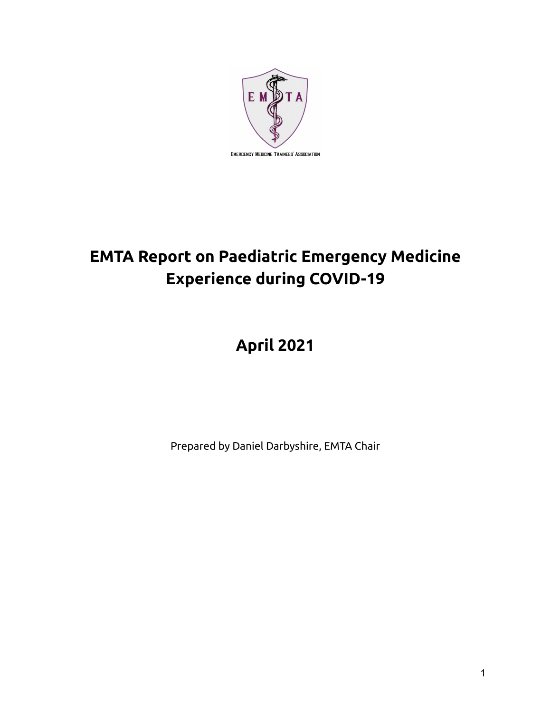

# **EMTA Report on Paediatric Emergency Medicine Experience during COVID-19**

# **April 2021**

Prepared by Daniel Darbyshire, EMTA Chair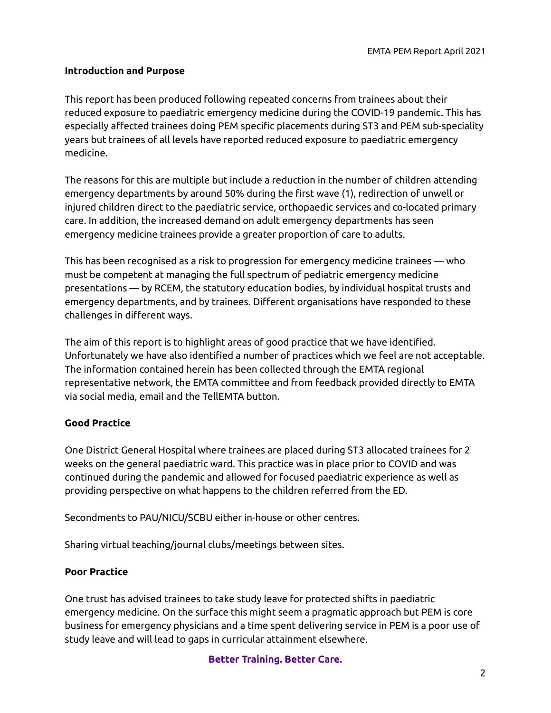#### **Introduction and Purpose**

This report has been produced following repeated concerns from trainees about their reduced exposure to paediatric emergency medicine during the COVID-19 pandemic. This has especially affected trainees doing PEM specific placements during ST3 and PEM sub-speciality years but trainees of all levels have reported reduced exposure to paediatric emergency medicine.

The reasons for this are multiple but include a reduction in the number of children attending emergency departments by around 50% during the first wave (1), redirection of unwell or injured children direct to the paediatric service, orthopaedic services and co-located primary care. In addition, the increased demand on adult emergency departments has seen emergency medicine trainees provide a greater proportion of care to adults.

This has been recognised as a risk to progression for emergency medicine trainees — who must be competent at managing the full spectrum of pediatric emergency medicine presentations — by RCEM, the statutory education bodies, by individual hospital trusts and emergency departments, and by trainees. Different organisations have responded to these challenges in different ways.

The aim of this report is to highlight areas of good practice that we have identified. Unfortunately we have also identified a number of practices which we feel are not acceptable. The information contained herein has been collected through the EMTA regional representative network, the EMTA committee and from feedback provided directly to EMTA via social media, email and the TellEMTA button.

### **Good Practice**

One District General Hospital where trainees are placed during ST3 allocated trainees for 2 weeks on the general paediatric ward. This practice was in place prior to COVID and was continued during the pandemic and allowed for focused paediatric experience as well as providing perspective on what happens to the children referred from the ED.

Secondments to PAU/NICU/SCBU either in-house or other centres.

Sharing virtual teaching/journal clubs/meetings between sites.

### **Poor Practice**

One trust has advised trainees to take study leave for protected shifts in paediatric emergency medicine. On the surface this might seem a pragmatic approach but PEM is core business for emergency physicians and a time spent delivering service in PEM is a poor use of study leave and will lead to gaps in curricular attainment elsewhere.

**Better Training. Better Care.**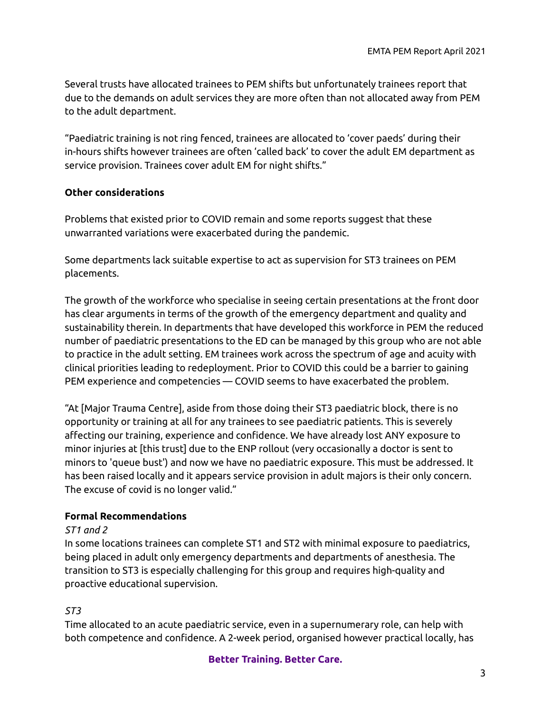Several trusts have allocated trainees to PEM shifts but unfortunately trainees report that due to the demands on adult services they are more often than not allocated away from PEM to the adult department.

"Paediatric training is not ring fenced, trainees are allocated to 'cover paeds' during their in-hours shifts however trainees are often 'called back' to cover the adult EM department as service provision. Trainees cover adult EM for night shifts."

### **Other considerations**

Problems that existed prior to COVID remain and some reports suggest that these unwarranted variations were exacerbated during the pandemic.

Some departments lack suitable expertise to act as supervision for ST3 trainees on PEM placements.

The growth of the workforce who specialise in seeing certain presentations at the front door has clear arguments in terms of the growth of the emergency department and quality and sustainability therein. In departments that have developed this workforce in PEM the reduced number of paediatric presentations to the ED can be managed by this group who are not able to practice in the adult setting. EM trainees work across the spectrum of age and acuity with clinical priorities leading to redeployment. Prior to COVID this could be a barrier to gaining PEM experience and competencies — COVID seems to have exacerbated the problem.

"At [Major Trauma Centre], aside from those doing their ST3 paediatric block, there is no opportunity or training at all for any trainees to see paediatric patients. This is severely affecting our training, experience and confidence. We have already lost ANY exposure to minor injuries at [this trust] due to the ENP rollout (very occasionally a doctor is sent to minors to 'queue bust') and now we have no paediatric exposure. This must be addressed. It has been raised locally and it appears service provision in adult majors is their only concern. The excuse of covid is no longer valid."

### **Formal Recommendations**

#### *ST1 and 2*

In some locations trainees can complete ST1 and ST2 with minimal exposure to paediatrics, being placed in adult only emergency departments and departments of anesthesia. The transition to ST3 is especially challenging for this group and requires high-quality and proactive educational supervision.

### *ST3*

Time allocated to an acute paediatric service, even in a supernumerary role, can help with both competence and confidence. A 2-week period, organised however practical locally, has